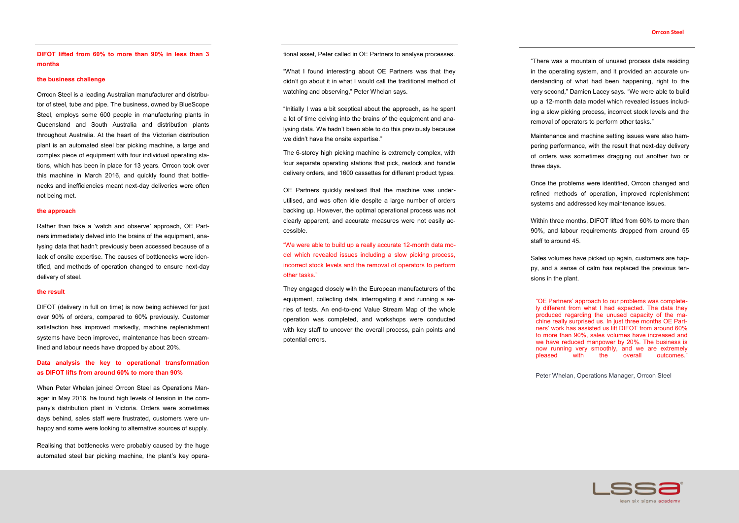**DIFOT lifted from 60% to more than 90% in less than 3 months**

## **the business challenge**

Orrcon Steel is a leading Australian manufacturer and distributor of steel, tube and pipe. The business, owned by BlueScope Steel, employs some 600 people in manufacturing plants in Queensland and South Australia and distribution plants throughout Australia. At the heart of the Victorian distribution plant is an automated steel bar picking machine, a large and complex piece of equipment with four individual operating stations, which has been in place for 13 years. Orrcon took over this machine in March 2016, and quickly found that bottlenecks and inefficiencies meant next-day deliveries were often not being met.

### **the approach**

Rather than take a 'watch and observe' approach, OE Partners immediately delved into the brains of the equipment, analysing data that hadn't previously been accessed because of a lack of onsite expertise. The causes of bottlenecks were identified, and methods of operation changed to ensure next-day delivery of steel.

### **the result**

DIFOT (delivery in full on time) is now being achieved for just over 90% of orders, compared to 60% previously. Customer satisfaction has improved markedly, machine replenishment systems have been improved, maintenance has been streamlined and labour needs have dropped by about 20%.

# **Data analysis the key to operational transformation as DIFOT lifts from around 60% to more than 90%**

When Peter Whelan joined Orrcon Steel as Operations Manager in May 2016, he found high levels of tension in the company's distribution plant in Victoria. Orders were sometimes days behind, sales staff were frustrated, customers were unhappy and some were looking to alternative sources of supply.

Realising that bottlenecks were probably caused by the huge automated steel bar picking machine, the plant's key operational asset, Peter called in OE Partners to analyse processes.

"What I found interesting about OE Partners was that they didn't go about it in what I would call the traditional method of watching and observing," Peter Whelan says.

"Initially I was a bit sceptical about the approach, as he spent a lot of time delving into the brains of the equipment and analysing data. We hadn't been able to do this previously because we didn't have the onsite expertise."

The 6-storey high picking machine is extremely complex, with four separate operating stations that pick, restock and handle delivery orders, and 1600 cassettes for different product types.

OE Partners quickly realised that the machine was underutilised, and was often idle despite a large number of orders backing up. However, the optimal operational process was not clearly apparent, and accurate measures were not easily accessible.

"We were able to build up a really accurate 12-month data model which revealed issues including a slow picking process, incorrect stock levels and the removal of operators to perform other tasks."

They engaged closely with the European manufacturers of the equipment, collecting data, interrogating it and running a series of tests. An end-to-end Value Stream Map of the whole operation was completed, and workshops were conducted with key staff to uncover the overall process, pain points and potential errors.

## **Orrcon Steel**

"There was a mountain of unused process data residing in the operating system, and it provided an accurate understanding of what had been happening, right to the very second," Damien Lacey says. "We were able to build up a 12-month data model which revealed issues including a slow picking process, incorrect stock levels and the removal of operators to perform other tasks."

Maintenance and machine setting issues were also hampering performance, with the result that next-day delivery of orders was sometimes dragging out another two or

three days.

Once the problems were identified, Orrcon changed and refined methods of operation, improved replenishment systems and addressed key maintenance issues.

Within three months, DIFOT lifted from 60% to more than 90%, and labour requirements dropped from around 55

staff to around 45.

Sales volumes have picked up again, customers are happy, and a sense of calm has replaced the previous ten-

sions in the plant.

"OE Partners' approach to our problems was completely different from what I had expected. The data they produced regarding the unused capacity of the machine really surprised us. In just three months OE Partners' work has assisted us lift DIFOT from around 60% to more than 90%, sales volumes have increased and we have reduced manpower by 20%. The business is now running very smoothly, and we are extremely pleased with the overall outcomes."

Peter Whelan, Operations Manager, Orrcon Steel